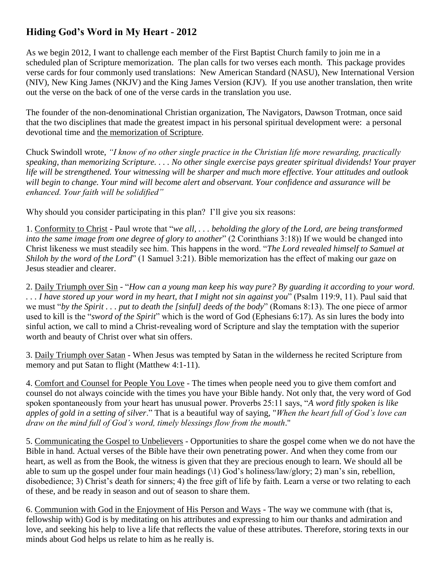## **Hiding God's Word in My Heart - 2012**

As we begin 2012, I want to challenge each member of the First Baptist Church family to join me in a scheduled plan of Scripture memorization. The plan calls for two verses each month. This package provides verse cards for four commonly used translations: New American Standard (NASU), New International Version (NIV), New King James (NKJV) and the King James Version (KJV). If you use another translation, then write out the verse on the back of one of the verse cards in the translation you use.

The founder of the non-denominational Christian organization, The Navigators, Dawson Trotman, once said that the two disciplines that made the greatest impact in his personal spiritual development were: a personal devotional time and the memorization of Scripture.

Chuck Swindoll wrote, *"I know of no other single practice in the Christian life more rewarding, practically speaking, than memorizing Scripture. . . . No other single exercise pays greater spiritual dividends! Your prayer life will be strengthened. Your witnessing will be sharper and much more effective. Your attitudes and outlook will begin to change. Your mind will become alert and observant. Your confidence and assurance will be enhanced. Your faith will be solidified"* 

Why should you consider participating in this plan? I'll give you six reasons:

1. Conformity to Christ - Paul wrote that "*we all, . . . beholding the glory of the Lord, are being transformed into the same image from one degree of glory to another*" (2 Corinthians 3:18)) If we would be changed into Christ likeness we must steadily see him. This happens in the word. "*The Lord revealed himself to Samuel at Shiloh by the word of the Lord*" (1 Samuel 3:21). Bible memorization has the effect of making our gaze on Jesus steadier and clearer.

2. Daily Triumph over Sin - "*How can a young man keep his way pure? By guarding it according to your word. . . . I have stored up your word in my heart, that I might not sin against you*" (Psalm 119:9, 11). Paul said that we must "*by the Spirit . . . put to death the [sinful] deeds of the body*" (Romans 8:13). The one piece of armor used to kill is the "*sword of the Spirit*" which is the word of God (Ephesians 6:17). As sin lures the body into sinful action, we call to mind a Christ-revealing word of Scripture and slay the temptation with the superior worth and beauty of Christ over what sin offers.

3. Daily Triumph over Satan - When Jesus was tempted by Satan in the wilderness he recited Scripture from memory and put Satan to flight (Matthew 4:1-11).

4. Comfort and Counsel for People You Love - The times when people need you to give them comfort and counsel do not always coincide with the times you have your Bible handy. Not only that, the very word of God spoken spontaneously from your heart has unusual power. Proverbs 25:11 says, "*A word fitly spoken is like apples of gold in a setting of silver*." That is a beautiful way of saying, "*When the heart full of God's love can draw on the mind full of God's word, timely blessings flow from the mouth*."

5. Communicating the Gospel to Unbelievers - Opportunities to share the gospel come when we do not have the Bible in hand. Actual verses of the Bible have their own penetrating power. And when they come from our heart, as well as from the Book, the witness is given that they are precious enough to learn. We should all be able to sum up the gospel under four main headings (\1) God's holiness/law/glory; 2) man's sin, rebellion, disobedience; 3) Christ's death for sinners; 4) the free gift of life by faith. Learn a verse or two relating to each of these, and be ready in season and out of season to share them.

6. Communion with God in the Enjoyment of His Person and Ways - The way we commune with (that is, fellowship with) God is by meditating on his attributes and expressing to him our thanks and admiration and love, and seeking his help to live a life that reflects the value of these attributes. Therefore, storing texts in our minds about God helps us relate to him as he really is.